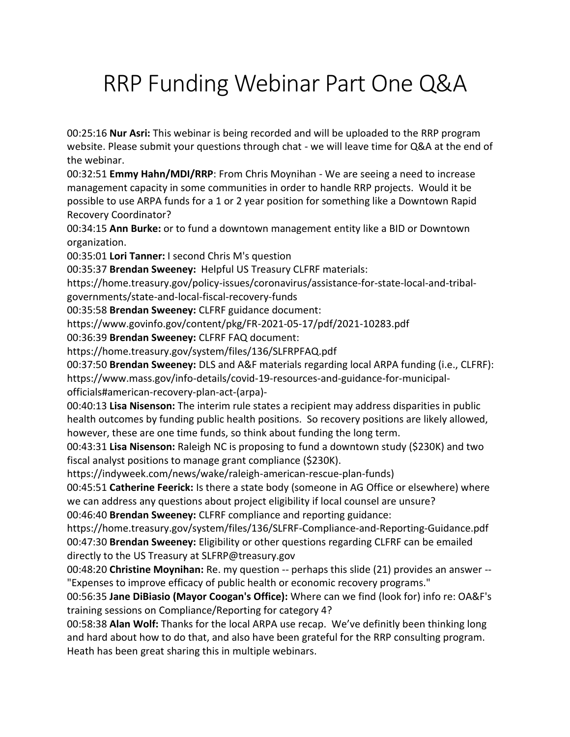# RRP Funding Webinar Part One Q&A

00:25:16 **Nur Asri:** This webinar is being recorded and will be uploaded to the RRP program website. Please submit your questions through chat - we will leave time for Q&A at the end of the webinar.

00:32:51 **Emmy Hahn/MDI/RRP**: From Chris Moynihan - We are seeing a need to increase management capacity in some communities in order to handle RRP projects. Would it be possible to use ARPA funds for a 1 or 2 year position for something like a Downtown Rapid Recovery Coordinator?

00:34:15 **Ann Burke:** or to fund a downtown management entity like a BID or Downtown organization.

00:35:01 **Lori Tanner:** I second Chris M's question

00:35:37 **Brendan Sweeney:** Helpful US Treasury CLFRF materials:

https://home.treasury.gov/policy-issues/coronavirus/assistance-for-state-local-and-tribalgovernments/state-and-local-fiscal-recovery-funds

00:35:58 **Brendan Sweeney:** CLFRF guidance document:

https://www.govinfo.gov/content/pkg/FR-2021-05-17/pdf/2021-10283.pdf

00:36:39 **Brendan Sweeney:** CLFRF FAQ document:

https://home.treasury.gov/system/files/136/SLFRPFAQ.pdf

00:37:50 **Brendan Sweeney:** DLS and A&F materials regarding local ARPA funding (i.e., CLFRF): https://www.mass.gov/info-details/covid-19-resources-and-guidance-for-municipalofficials#american-recovery-plan-act-(arpa)-

00:40:13 **Lisa Nisenson:** The interim rule states a recipient may address disparities in public health outcomes by funding public health positions. So recovery positions are likely allowed, however, these are one time funds, so think about funding the long term.

00:43:31 **Lisa Nisenson:** Raleigh NC is proposing to fund a downtown study (\$230K) and two fiscal analyst positions to manage grant compliance (\$230K).

https://indyweek.com/news/wake/raleigh-american-rescue-plan-funds)

00:45:51 **Catherine Feerick:** Is there a state body (someone in AG Office or elsewhere) where we can address any questions about project eligibility if local counsel are unsure?

00:46:40 **Brendan Sweeney:** CLFRF compliance and reporting guidance:

https://home.treasury.gov/system/files/136/SLFRF-Compliance-and-Reporting-Guidance.pdf 00:47:30 **Brendan Sweeney:** Eligibility or other questions regarding CLFRF can be emailed directly to the US Treasury at SLFRP@treasury.gov

00:48:20 **Christine Moynihan:** Re. my question -- perhaps this slide (21) provides an answer -- "Expenses to improve efficacy of public health or economic recovery programs."

00:56:35 **Jane DiBiasio (Mayor Coogan's Office):** Where can we find (look for) info re: OA&F's training sessions on Compliance/Reporting for category 4?

00:58:38 **Alan Wolf:** Thanks for the local ARPA use recap. We've definitly been thinking long and hard about how to do that, and also have been grateful for the RRP consulting program. Heath has been great sharing this in multiple webinars.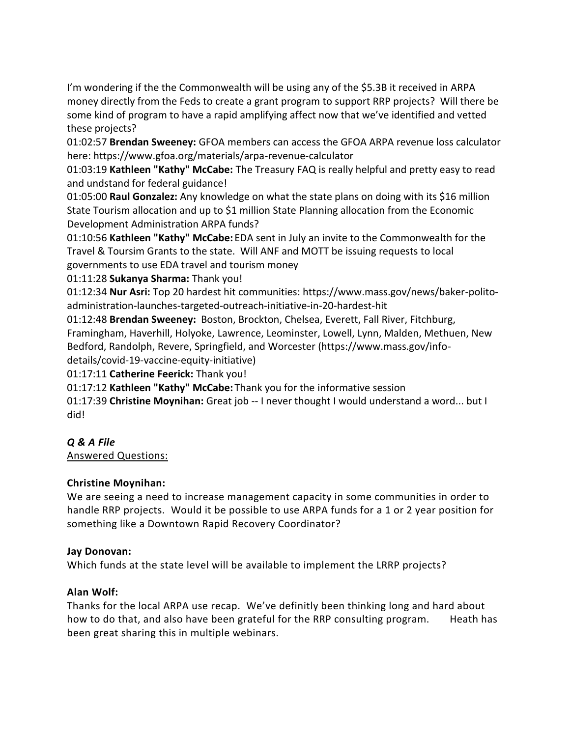I'm wondering if the the Commonwealth will be using any of the \$5.3B it received in ARPA money directly from the Feds to create a grant program to support RRP projects? Will there be some kind of program to have a rapid amplifying affect now that we've identified and vetted these projects?

01:02:57 **Brendan Sweeney:** GFOA members can access the GFOA ARPA revenue loss calculator here: https://www.gfoa.org/materials/arpa-revenue-calculator

01:03:19 **Kathleen "Kathy" McCabe:** The Treasury FAQ is really helpful and pretty easy to read and undstand for federal guidance!

01:05:00 **Raul Gonzalez:** Any knowledge on what the state plans on doing with its \$16 million State Tourism allocation and up to \$1 million State Planning allocation from the Economic Development Administration ARPA funds?

01:10:56 **Kathleen "Kathy" McCabe:** EDA sent in July an invite to the Commonwealth for the Travel & Toursim Grants to the state. Will ANF and MOTT be issuing requests to local governments to use EDA travel and tourism money

01:11:28 **Sukanya Sharma:** Thank you!

01:12:34 **Nur Asri:** Top 20 hardest hit communities: https://www.mass.gov/news/baker-politoadministration-launches-targeted-outreach-initiative-in-20-hardest-hit

01:12:48 **Brendan Sweeney:** Boston, Brockton, Chelsea, Everett, Fall River, Fitchburg, Framingham, Haverhill, Holyoke, Lawrence, Leominster, Lowell, Lynn, Malden, Methuen, New Bedford, Randolph, Revere, Springfield, and Worcester (https://www.mass.gov/infodetails/covid-19-vaccine-equity-initiative)

01:17:11 **Catherine Feerick:** Thank you!

01:17:12 **Kathleen "Kathy" McCabe:** Thank you for the informative session

01:17:39 **Christine Moynihan:** Great job -- I never thought I would understand a word... but I did!

## *Q & A File*

Answered Questions:

## **Christine Moynihan:**

We are seeing a need to increase management capacity in some communities in order to handle RRP projects. Would it be possible to use ARPA funds for a 1 or 2 year position for something like a Downtown Rapid Recovery Coordinator?

### **Jay Donovan:**

Which funds at the state level will be available to implement the LRRP projects?

## **Alan Wolf:**

Thanks for the local ARPA use recap. We've definitly been thinking long and hard about how to do that, and also have been grateful for the RRP consulting program. Heath has been great sharing this in multiple webinars.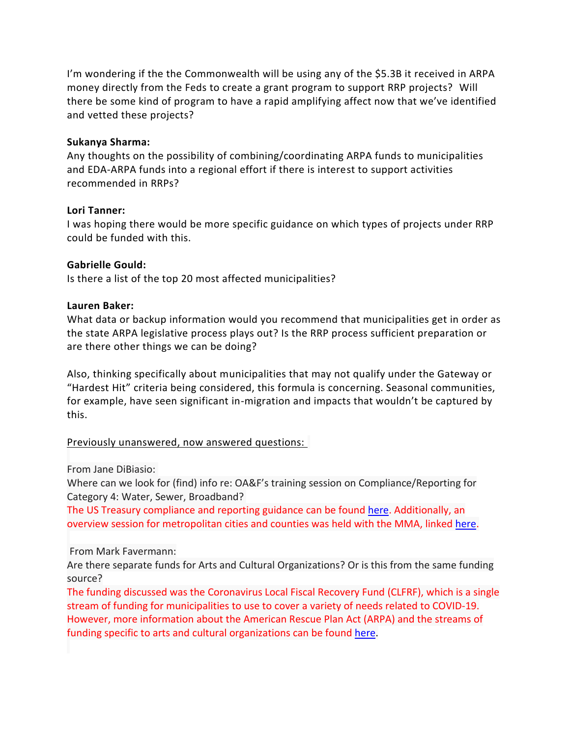I'm wondering if the the Commonwealth will be using any of the \$5.3B it received in ARPA money directly from the Feds to create a grant program to support RRP projects? Will there be some kind of program to have a rapid amplifying affect now that we've identified and vetted these projects?

#### **Sukanya Sharma:**

Any thoughts on the possibility of combining/coordinating ARPA funds to municipalities and EDA-ARPA funds into a regional effort if there is interest to support activities recommended in RRPs?

#### **Lori Tanner:**

I was hoping there would be more specific guidance on which types of projects under RRP could be funded with this.

#### **Gabrielle Gould:**

Is there a list of the top 20 most affected municipalities?

#### **Lauren Baker:**

What data or backup information would you recommend that municipalities get in order as the state ARPA legislative process plays out? Is the RRP process sufficient preparation or are there other things we can be doing?

Also, thinking specifically about municipalities that may not qualify under the Gateway or "Hardest Hit" criteria being considered, this formula is concerning. Seasonal communities, for example, have seen significant in-migration and impacts that wouldn't be captured by this.

#### Previously unanswered, now answered questions:

From Jane DiBiasio:

Where can we look for (find) info re: OA&F's training session on Compliance/Reporting for Category 4: Water, Sewer, Broadband?

The US Treasury compliance and reporting guidance can be found [here.](https://home.treasury.gov/system/files/136/SLFRF-Compliance-and-Reporting-Guidance.pdf) Additionally, an overview session for metropolitan cities and counties was held with the MMA, linked [here.](https://www.mma.org/state-officials-explain-arpa-reporting-requirements-for-metropolitan-cities/)

#### From Mark Favermann:

Are there separate funds for Arts and Cultural Organizations? Or is this from the same funding source?

The funding discussed was the Coronavirus Local Fiscal Recovery Fund (CLFRF), which is a single stream of funding for municipalities to use to cover a variety of needs related to COVID-19. However, more information about the American Rescue Plan Act (ARPA) and the streams of funding specific to arts and cultural organizations can be found [here.](https://www.arts.gov/COVID-19/american-rescue-plan-and-arts-and-creative-industries-faqs)